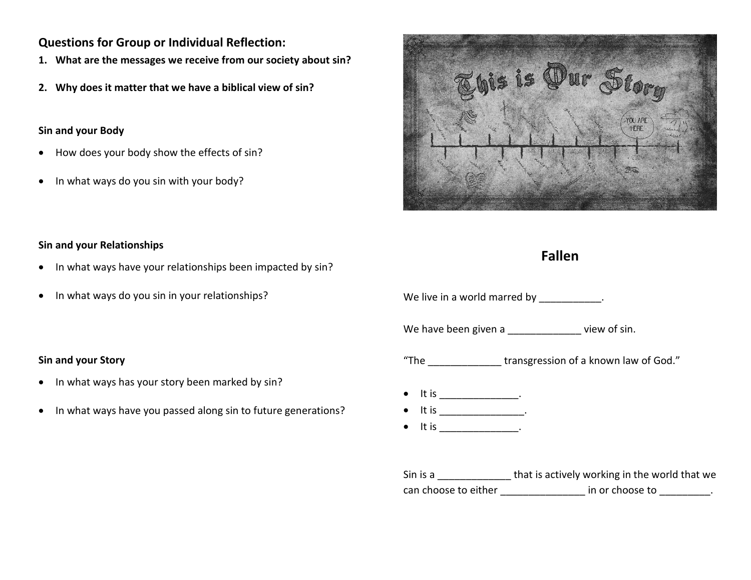# **Questions for Group or Individual Reflection:**

- **1. What are the messages we receive from our society about sin?**
- **2. Why does it matter that we have a biblical view of sin?**

# **Sin and your Body**

- How does your body show the effects of sin?
- In what ways do you sin with your body?



# **Fallen**

**Sin and your Relationships**

- In what ways have your relationships been impacted by sin?
- In what ways do you sin in your relationships?

## **Sin and your Story**

- In what ways has your story been marked by sin?
- In what ways have you passed along sin to future generations?

| We live in a world marred by ___________.                              |                                                              |  |
|------------------------------------------------------------------------|--------------------------------------------------------------|--|
|                                                                        | We have been given a _____________ view of sin.              |  |
|                                                                        | "The _________________ transgression of a known law of God." |  |
| $\bullet$ It is ________________.<br>$\bullet$ It is ________________. |                                                              |  |

Sin is a \_\_\_\_\_\_\_\_\_\_\_\_\_\_\_\_\_ that is actively working in the world that we can choose to either \_\_\_\_\_\_\_\_\_\_\_\_\_\_\_\_\_\_\_\_ in or choose to \_\_\_\_\_\_\_\_.